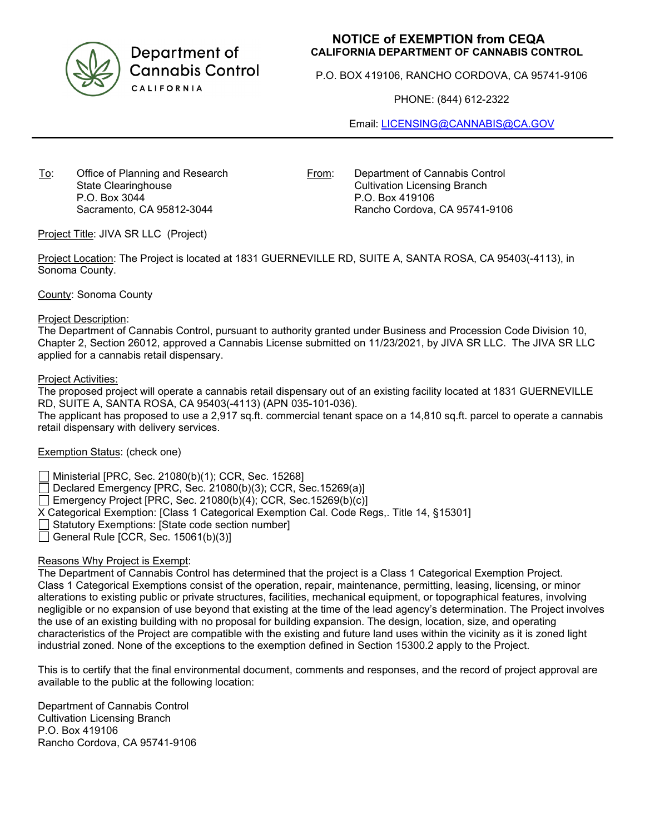

Department of **Cannabis Control** CALIFORNIA

# **NOTICE of EXEMPTION from CEQA CALIFORNIA DEPARTMENT OF CANNABIS CONTROL**

P.O. BOX 419106, RANCHO CORDOVA, CA 95741-9106

PHONE: (844) 612-2322

Email: [LICENSING@CANNABIS@CA.GOV](mailto:LICENSING@CANNABIS@CA.GOV)

To: Office of Planning and Research State Clearinghouse P.O. Box 3044 Sacramento, CA 95812-3044

From: Department of Cannabis Control Cultivation Licensing Branch P.O. Box 419106 Rancho Cordova, CA 95741-9106

Project Title: JIVA SR LLC (Project)

Project Location: The Project is located at 1831 GUERNEVILLE RD, SUITE A, SANTA ROSA, CA 95403(-4113), in Sonoma County.

County: Sonoma County

#### Project Description:

The Department of Cannabis Control, pursuant to authority granted under Business and Procession Code Division 10, Chapter 2, Section 26012, approved a Cannabis License submitted on 11/23/2021, by JIVA SR LLC. The JIVA SR LLC applied for a cannabis retail dispensary.

#### Project Activities:

The proposed project will operate a cannabis retail dispensary out of an existing facility located at 1831 GUERNEVILLE RD, SUITE A, SANTA ROSA, CA 95403(-4113) (APN 035-101-036).

The applicant has proposed to use a 2,917 sq.ft. commercial tenant space on a 14,810 sq.ft. parcel to operate a cannabis retail dispensary with delivery services.

Exemption Status: (check one)

Ministerial [PRC, Sec. 21080(b)(1); CCR, Sec. 15268]

Declared Emergency [PRC, Sec. 21080(b)(3); CCR, Sec.15269(a)]

Emergency Project [PRC, Sec. 21080(b)(4); CCR, Sec.15269(b)(c)]

X Categorical Exemption: [Class 1 Categorical Exemption Cal. Code Regs,. Title 14, §15301]

Statutory Exemptions: [State code section number]

 $\Box$  General Rule [CCR, Sec. 15061(b)(3)]

## Reasons Why Project is Exempt:

The Department of Cannabis Control has determined that the project is a Class 1 Categorical Exemption Project. Class 1 Categorical Exemptions consist of the operation, repair, maintenance, permitting, leasing, licensing, or minor alterations to existing public or private structures, facilities, mechanical equipment, or topographical features, involving negligible or no expansion of use beyond that existing at the time of the lead agency's determination. The Project involves the use of an existing building with no proposal for building expansion. The design, location, size, and operating characteristics of the Project are compatible with the existing and future land uses within the vicinity as it is zoned light industrial zoned. None of the exceptions to the exemption defined in Section 15300.2 apply to the Project.

This is to certify that the final environmental document, comments and responses, and the record of project approval are available to the public at the following location:

Department of Cannabis Control Cultivation Licensing Branch P.O. Box 419106 Rancho Cordova, CA 95741-9106